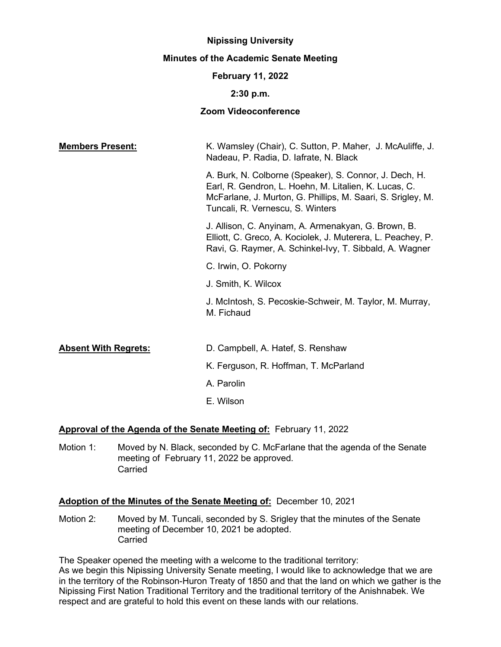## **Nipissing University**

## **Minutes of the Academic Senate Meeting**

## **February 11, 2022**

## **2:30 p.m.**

# **Zoom Videoconference**

| <b>Members Present:</b>     | K. Wamsley (Chair), C. Sutton, P. Maher, J. McAuliffe, J.<br>Nadeau, P. Radia, D. lafrate, N. Black                                                                                                                |
|-----------------------------|--------------------------------------------------------------------------------------------------------------------------------------------------------------------------------------------------------------------|
|                             | A. Burk, N. Colborne (Speaker), S. Connor, J. Dech, H.<br>Earl, R. Gendron, L. Hoehn, M. Litalien, K. Lucas, C.<br>McFarlane, J. Murton, G. Phillips, M. Saari, S. Srigley, M.<br>Tuncali, R. Vernescu, S. Winters |
|                             | J. Allison, C. Anyinam, A. Armenakyan, G. Brown, B.<br>Elliott, C. Greco, A. Kociolek, J. Muterera, L. Peachey, P.<br>Ravi, G. Raymer, A. Schinkel-Ivy, T. Sibbald, A. Wagner                                      |
|                             | C. Irwin, O. Pokorny                                                                                                                                                                                               |
|                             | J. Smith, K. Wilcox                                                                                                                                                                                                |
|                             | J. McIntosh, S. Pecoskie-Schweir, M. Taylor, M. Murray,<br>M. Fichaud                                                                                                                                              |
|                             |                                                                                                                                                                                                                    |
| <b>Absent With Regrets:</b> | D. Campbell, A. Hatef, S. Renshaw                                                                                                                                                                                  |
|                             | K. Ferguson, R. Hoffman, T. McParland                                                                                                                                                                              |
|                             | A. Parolin                                                                                                                                                                                                         |
|                             | E. Wilson                                                                                                                                                                                                          |

# **Approval of the Agenda of the Senate Meeting of:** February 11, 2022

Motion 1: Moved by N. Black, seconded by C. McFarlane that the agenda of the Senate meeting of February 11, 2022 be approved. **Carried** 

# **Adoption of the Minutes of the Senate Meeting of:** December 10, 2021

Motion 2: Moved by M. Tuncali, seconded by S. Srigley that the minutes of the Senate meeting of December 10, 2021 be adopted. Carried

The Speaker opened the meeting with a welcome to the traditional territory: As we begin this Nipissing University Senate meeting, I would like to acknowledge that we are in the territory of the Robinson-Huron Treaty of 1850 and that the land on which we gather is the Nipissing First Nation Traditional Territory and the traditional territory of the Anishnabek. We respect and are grateful to hold this event on these lands with our relations.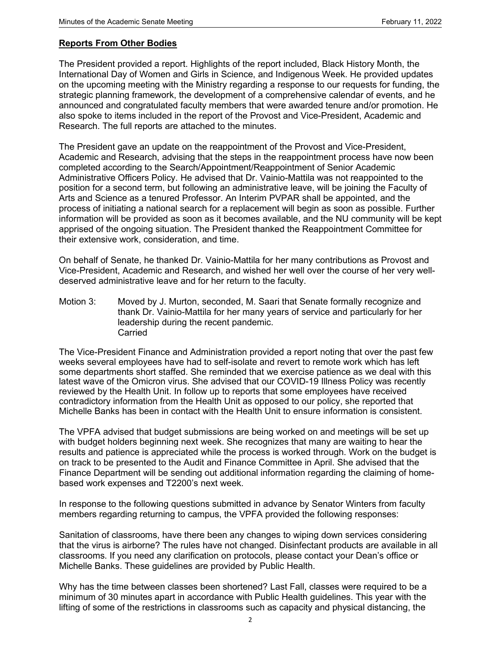## **Reports From Other Bodies**

The President provided a report. Highlights of the report included, Black History Month, the International Day of Women and Girls in Science, and Indigenous Week. He provided updates on the upcoming meeting with the Ministry regarding a response to our requests for funding, the strategic planning framework, the development of a comprehensive calendar of events, and he announced and congratulated faculty members that were awarded tenure and/or promotion. He also spoke to items included in the report of the Provost and Vice-President, Academic and Research. The full reports are attached to the minutes.

The President gave an update on the reappointment of the Provost and Vice-President, Academic and Research, advising that the steps in the reappointment process have now been completed according to the Search/Appointment/Reappointment of Senior Academic Administrative Officers Policy. He advised that Dr. Vainio-Mattila was not reappointed to the position for a second term, but following an administrative leave, will be joining the Faculty of Arts and Science as a tenured Professor. An Interim PVPAR shall be appointed, and the process of initiating a national search for a replacement will begin as soon as possible. Further information will be provided as soon as it becomes available, and the NU community will be kept apprised of the ongoing situation. The President thanked the Reappointment Committee for their extensive work, consideration, and time.

On behalf of Senate, he thanked Dr. Vainio-Mattila for her many contributions as Provost and Vice-President, Academic and Research, and wished her well over the course of her very welldeserved administrative leave and for her return to the faculty.

Motion 3: Moved by J. Murton, seconded, M. Saari that Senate formally recognize and thank Dr. Vainio-Mattila for her many years of service and particularly for her leadership during the recent pandemic. Carried

The Vice-President Finance and Administration provided a report noting that over the past few weeks several employees have had to self-isolate and revert to remote work which has left some departments short staffed. She reminded that we exercise patience as we deal with this latest wave of the Omicron virus. She advised that our COVID-19 Illness Policy was recently reviewed by the Health Unit. In follow up to reports that some employees have received contradictory information from the Health Unit as opposed to our policy, she reported that Michelle Banks has been in contact with the Health Unit to ensure information is consistent.

The VPFA advised that budget submissions are being worked on and meetings will be set up with budget holders beginning next week. She recognizes that many are waiting to hear the results and patience is appreciated while the process is worked through. Work on the budget is on track to be presented to the Audit and Finance Committee in April. She advised that the Finance Department will be sending out additional information regarding the claiming of homebased work expenses and T2200's next week.

In response to the following questions submitted in advance by Senator Winters from faculty members regarding returning to campus, the VPFA provided the following responses:

Sanitation of classrooms, have there been any changes to wiping down services considering that the virus is airborne? The rules have not changed. Disinfectant products are available in all classrooms. If you need any clarification on protocols, please contact your Dean's office or Michelle Banks. These guidelines are provided by Public Health.

Why has the time between classes been shortened? Last Fall, classes were required to be a minimum of 30 minutes apart in accordance with Public Health guidelines. This year with the lifting of some of the restrictions in classrooms such as capacity and physical distancing, the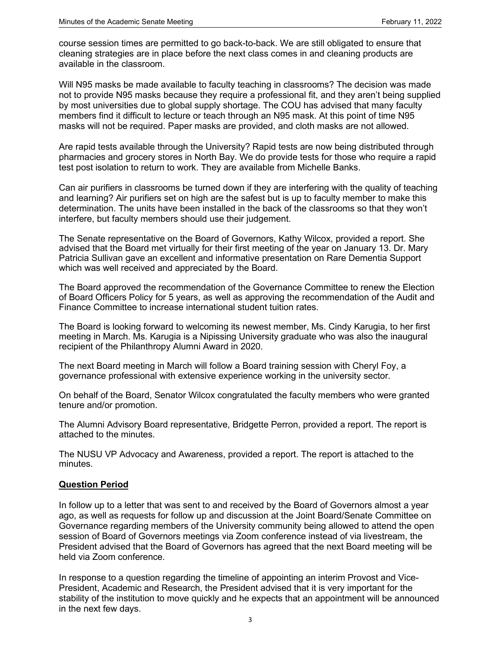course session times are permitted to go back-to-back. We are still obligated to ensure that cleaning strategies are in place before the next class comes in and cleaning products are available in the classroom.

Will N95 masks be made available to faculty teaching in classrooms? The decision was made not to provide N95 masks because they require a professional fit, and they aren't being supplied by most universities due to global supply shortage. The COU has advised that many faculty members find it difficult to lecture or teach through an N95 mask. At this point of time N95 masks will not be required. Paper masks are provided, and cloth masks are not allowed.

Are rapid tests available through the University? Rapid tests are now being distributed through pharmacies and grocery stores in North Bay. We do provide tests for those who require a rapid test post isolation to return to work. They are available from Michelle Banks.

Can air purifiers in classrooms be turned down if they are interfering with the quality of teaching and learning? Air purifiers set on high are the safest but is up to faculty member to make this determination. The units have been installed in the back of the classrooms so that they won't interfere, but faculty members should use their judgement.

The Senate representative on the Board of Governors, Kathy Wilcox, provided a report. She advised that the Board met virtually for their first meeting of the year on January 13. Dr. Mary Patricia Sullivan gave an excellent and informative presentation on Rare Dementia Support which was well received and appreciated by the Board.

The Board approved the recommendation of the Governance Committee to renew the Election of Board Officers Policy for 5 years, as well as approving the recommendation of the Audit and Finance Committee to increase international student tuition rates.

The Board is looking forward to welcoming its newest member, Ms. Cindy Karugia, to her first meeting in March. Ms. Karugia is a Nipissing University graduate who was also the inaugural recipient of the Philanthropy Alumni Award in 2020.

The next Board meeting in March will follow a Board training session with Cheryl Foy, a governance professional with extensive experience working in the university sector.

On behalf of the Board, Senator Wilcox congratulated the faculty members who were granted tenure and/or promotion.

The Alumni Advisory Board representative, Bridgette Perron, provided a report. The report is attached to the minutes.

The NUSU VP Advocacy and Awareness, provided a report. The report is attached to the minutes.

## **Question Period**

In follow up to a letter that was sent to and received by the Board of Governors almost a year ago, as well as requests for follow up and discussion at the Joint Board/Senate Committee on Governance regarding members of the University community being allowed to attend the open session of Board of Governors meetings via Zoom conference instead of via livestream, the President advised that the Board of Governors has agreed that the next Board meeting will be held via Zoom conference.

In response to a question regarding the timeline of appointing an interim Provost and Vice-President, Academic and Research, the President advised that it is very important for the stability of the institution to move quickly and he expects that an appointment will be announced in the next few days.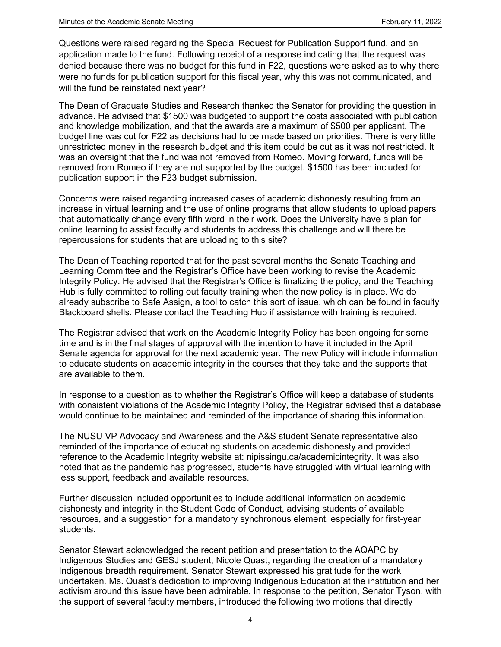Questions were raised regarding the Special Request for Publication Support fund, and an application made to the fund. Following receipt of a response indicating that the request was denied because there was no budget for this fund in F22, questions were asked as to why there were no funds for publication support for this fiscal year, why this was not communicated, and will the fund be reinstated next year?

The Dean of Graduate Studies and Research thanked the Senator for providing the question in advance. He advised that \$1500 was budgeted to support the costs associated with publication and knowledge mobilization, and that the awards are a maximum of \$500 per applicant. The budget line was cut for F22 as decisions had to be made based on priorities. There is very little unrestricted money in the research budget and this item could be cut as it was not restricted. It was an oversight that the fund was not removed from Romeo. Moving forward, funds will be removed from Romeo if they are not supported by the budget. \$1500 has been included for publication support in the F23 budget submission.

Concerns were raised regarding increased cases of academic dishonesty resulting from an increase in virtual learning and the use of online programs that allow students to upload papers that automatically change every fifth word in their work. Does the University have a plan for online learning to assist faculty and students to address this challenge and will there be repercussions for students that are uploading to this site?

The Dean of Teaching reported that for the past several months the Senate Teaching and Learning Committee and the Registrar's Office have been working to revise the Academic Integrity Policy. He advised that the Registrar's Office is finalizing the policy, and the Teaching Hub is fully committed to rolling out faculty training when the new policy is in place. We do already subscribe to Safe Assign, a tool to catch this sort of issue, which can be found in faculty Blackboard shells. Please contact the Teaching Hub if assistance with training is required.

The Registrar advised that work on the Academic Integrity Policy has been ongoing for some time and is in the final stages of approval with the intention to have it included in the April Senate agenda for approval for the next academic year. The new Policy will include information to educate students on academic integrity in the courses that they take and the supports that are available to them.

In response to a question as to whether the Registrar's Office will keep a database of students with consistent violations of the Academic Integrity Policy, the Registrar advised that a database would continue to be maintained and reminded of the importance of sharing this information.

The NUSU VP Advocacy and Awareness and the A&S student Senate representative also reminded of the importance of educating students on academic dishonesty and provided reference to the Academic Integrity website at: nipissingu.ca/academicintegrity. It was also noted that as the pandemic has progressed, students have struggled with virtual learning with less support, feedback and available resources.

Further discussion included opportunities to include additional information on academic dishonesty and integrity in the Student Code of Conduct, advising students of available resources, and a suggestion for a mandatory synchronous element, especially for first-year students.

Senator Stewart acknowledged the recent petition and presentation to the AQAPC by Indigenous Studies and GESJ student, Nicole Quast, regarding the creation of a mandatory Indigenous breadth requirement. Senator Stewart expressed his gratitude for the work undertaken. Ms. Quast's dedication to improving Indigenous Education at the institution and her activism around this issue have been admirable. In response to the petition, Senator Tyson, with the support of several faculty members, introduced the following two motions that directly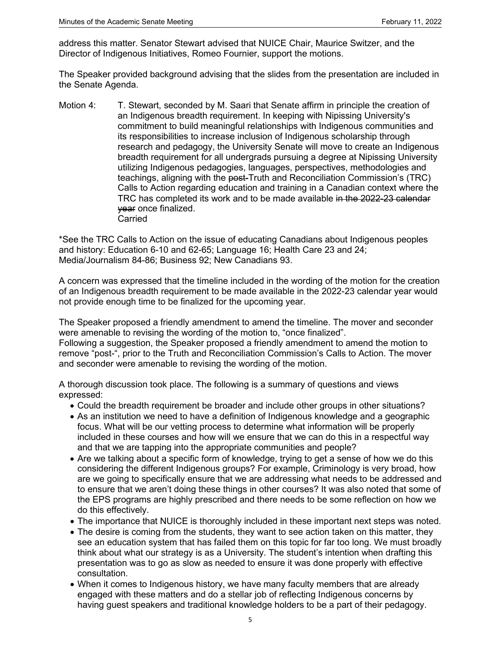address this matter. Senator Stewart advised that NUICE Chair, Maurice Switzer, and the Director of Indigenous Initiatives, Romeo Fournier, support the motions.

The Speaker provided background advising that the slides from the presentation are included in the Senate Agenda.

Motion 4: T. Stewart, seconded by M. Saari that Senate affirm in principle the creation of an Indigenous breadth requirement. In keeping with Nipissing University's commitment to build meaningful relationships with Indigenous communities and its responsibilities to increase inclusion of Indigenous scholarship through research and pedagogy, the University Senate will move to create an Indigenous breadth requirement for all undergrads pursuing a degree at Nipissing University utilizing Indigenous pedagogies, languages, perspectives, methodologies and teachings, aligning with the post-Truth and Reconciliation Commission's (TRC) Calls to Action regarding education and training in a Canadian context where the TRC has completed its work and to be made available in the 2022-23 calendar year once finalized. Carried

\*See the TRC Calls to Action on the issue of educating Canadians about Indigenous peoples and history: Education 6-10 and 62-65; Language 16; Health Care 23 and 24; Media/Journalism 84-86; Business 92; New Canadians 93.

A concern was expressed that the timeline included in the wording of the motion for the creation of an Indigenous breadth requirement to be made available in the 2022-23 calendar year would not provide enough time to be finalized for the upcoming year.

The Speaker proposed a friendly amendment to amend the timeline. The mover and seconder were amenable to revising the wording of the motion to, "once finalized".

Following a suggestion, the Speaker proposed a friendly amendment to amend the motion to remove "post-", prior to the Truth and Reconciliation Commission's Calls to Action. The mover and seconder were amenable to revising the wording of the motion.

A thorough discussion took place. The following is a summary of questions and views expressed:

- Could the breadth requirement be broader and include other groups in other situations?
- As an institution we need to have a definition of Indigenous knowledge and a geographic focus. What will be our vetting process to determine what information will be properly included in these courses and how will we ensure that we can do this in a respectful way and that we are tapping into the appropriate communities and people?
- Are we talking about a specific form of knowledge, trying to get a sense of how we do this considering the different Indigenous groups? For example, Criminology is very broad, how are we going to specifically ensure that we are addressing what needs to be addressed and to ensure that we aren't doing these things in other courses? It was also noted that some of the EPS programs are highly prescribed and there needs to be some reflection on how we do this effectively.
- The importance that NUICE is thoroughly included in these important next steps was noted.
- The desire is coming from the students, they want to see action taken on this matter, they see an education system that has failed them on this topic for far too long. We must broadly think about what our strategy is as a University. The student's intention when drafting this presentation was to go as slow as needed to ensure it was done properly with effective consultation.
- When it comes to Indigenous history, we have many faculty members that are already engaged with these matters and do a stellar job of reflecting Indigenous concerns by having guest speakers and traditional knowledge holders to be a part of their pedagogy.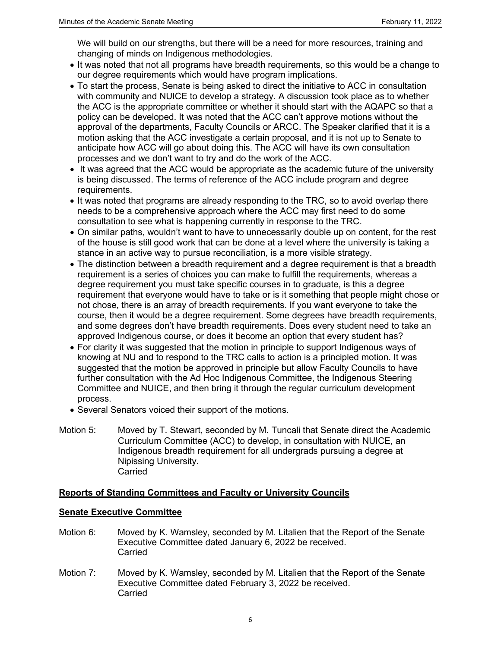We will build on our strengths, but there will be a need for more resources, training and changing of minds on Indigenous methodologies.

- It was noted that not all programs have breadth requirements, so this would be a change to our degree requirements which would have program implications.
- To start the process, Senate is being asked to direct the initiative to ACC in consultation with community and NUICE to develop a strategy. A discussion took place as to whether the ACC is the appropriate committee or whether it should start with the AQAPC so that a policy can be developed. It was noted that the ACC can't approve motions without the approval of the departments, Faculty Councils or ARCC. The Speaker clarified that it is a motion asking that the ACC investigate a certain proposal, and it is not up to Senate to anticipate how ACC will go about doing this. The ACC will have its own consultation processes and we don't want to try and do the work of the ACC.
- It was agreed that the ACC would be appropriate as the academic future of the university is being discussed. The terms of reference of the ACC include program and degree requirements.
- It was noted that programs are already responding to the TRC, so to avoid overlap there needs to be a comprehensive approach where the ACC may first need to do some consultation to see what is happening currently in response to the TRC.
- On similar paths, wouldn't want to have to unnecessarily double up on content, for the rest of the house is still good work that can be done at a level where the university is taking a stance in an active way to pursue reconciliation, is a more visible strategy.
- The distinction between a breadth requirement and a degree requirement is that a breadth requirement is a series of choices you can make to fulfill the requirements, whereas a degree requirement you must take specific courses in to graduate, is this a degree requirement that everyone would have to take or is it something that people might chose or not chose, there is an array of breadth requirements. If you want everyone to take the course, then it would be a degree requirement. Some degrees have breadth requirements, and some degrees don't have breadth requirements. Does every student need to take an approved Indigenous course, or does it become an option that every student has?
- For clarity it was suggested that the motion in principle to support Indigenous ways of knowing at NU and to respond to the TRC calls to action is a principled motion. It was suggested that the motion be approved in principle but allow Faculty Councils to have further consultation with the Ad Hoc Indigenous Committee, the Indigenous Steering Committee and NUICE, and then bring it through the regular curriculum development process.
- Several Senators voiced their support of the motions.
- Motion 5: Moved by T. Stewart, seconded by M. Tuncali that Senate direct the Academic Curriculum Committee (ACC) to develop, in consultation with NUICE, an Indigenous breadth requirement for all undergrads pursuing a degree at Nipissing University. **Carried**

## **Reports of Standing Committees and Faculty or University Councils**

## **Senate Executive Committee**

- Motion 6: Moved by K. Wamsley, seconded by M. Litalien that the Report of the Senate Executive Committee dated January 6, 2022 be received. **Carried**
- Motion 7: Moved by K. Wamsley, seconded by M. Litalien that the Report of the Senate Executive Committee dated February 3, 2022 be received. **Carried**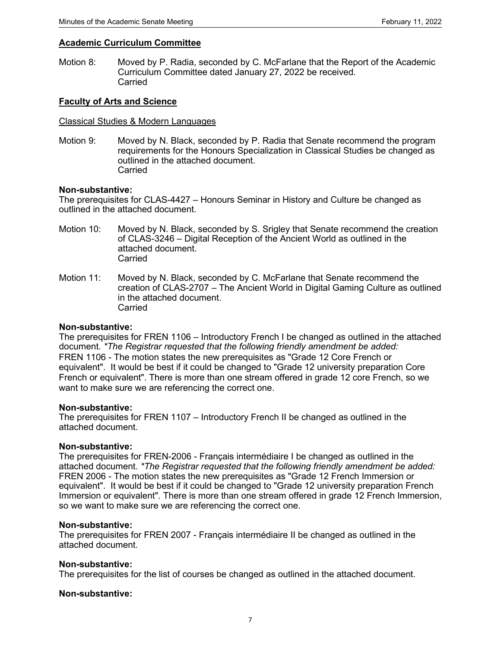## **Academic Curriculum Committee**

Motion 8: Moved by P. Radia, seconded by C. McFarlane that the Report of the Academic Curriculum Committee dated January 27, 2022 be received. Carried

#### **Faculty of Arts and Science**

#### Classical Studies & Modern Languages

Motion 9:Moved by N. Black, seconded by P. Radia that Senate recommend the program requirements for the Honours Specialization in Classical Studies be changed as outlined in the attached document. **Carried** 

#### **Non-substantive:**

The prerequisites for CLAS-4427 – Honours Seminar in History and Culture be changed as outlined in the attached document.

- Motion 10: Moved by N. Black, seconded by S. Srigley that Senate recommend the creation of CLAS-3246 – Digital Reception of the Ancient World as outlined in the attached document. Carried
- Motion 11:Moved by N. Black, seconded by C. McFarlane that Senate recommend the creation of CLAS-2707 – The Ancient World in Digital Gaming Culture as outlined in the attached document. Carried

#### **Non-substantive:**

The prerequisites for FREN 1106 – Introductory French I be changed as outlined in the attached document. *\*The Registrar requested that the following friendly amendment be added:* FREN 1106 - The motion states the new prerequisites as "Grade 12 Core French or equivalent". It would be best if it could be changed to "Grade 12 university preparation Core French or equivalent". There is more than one stream offered in grade 12 core French, so we want to make sure we are referencing the correct one.

#### **Non-substantive:**

The prerequisites for FREN 1107 – Introductory French II be changed as outlined in the attached document.

#### **Non-substantive:**

The prerequisites for FREN-2006 - Français intermédiaire I be changed as outlined in the attached document. *\*The Registrar requested that the following friendly amendment be added:*  FREN 2006 - The motion states the new prerequisites as "Grade 12 French Immersion or equivalent". It would be best if it could be changed to "Grade 12 university preparation French Immersion or equivalent". There is more than one stream offered in grade 12 French Immersion, so we want to make sure we are referencing the correct one.

#### **Non-substantive:**

The prerequisites for FREN 2007 - Français intermédiaire II be changed as outlined in the attached document.

#### **Non-substantive:**

The prerequisites for the list of courses be changed as outlined in the attached document.

#### **Non-substantive:**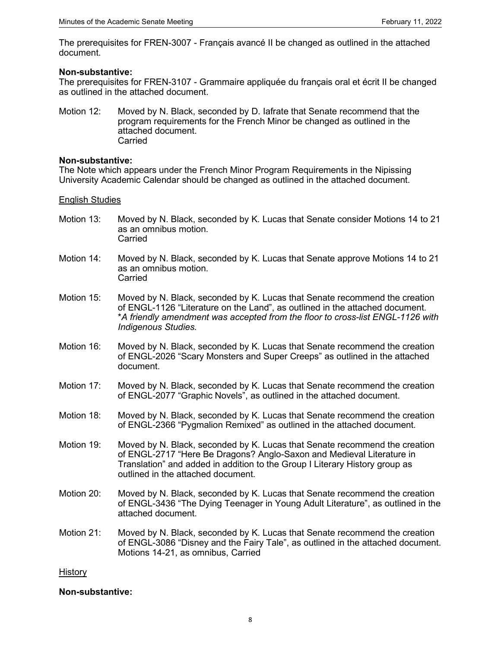The prerequisites for FREN-3007 - Français avancé II be changed as outlined in the attached document.

#### **Non-substantive:**

The prerequisites for FREN-3107 - Grammaire appliquée du français oral et écrit II be changed as outlined in the attached document.

Motion 12: Moved by N. Black, seconded by D. Iafrate that Senate recommend that the program requirements for the French Minor be changed as outlined in the attached document. Carried

#### **Non-substantive:**

The Note which appears under the French Minor Program Requirements in the Nipissing University Academic Calendar should be changed as outlined in the attached document.

English Studies

- Motion 13: Moved by N. Black, seconded by K. Lucas that Senate consider Motions 14 to 21 as an omnibus motion. Carried
- Motion 14: Moved by N. Black, seconded by K. Lucas that Senate approve Motions 14 to 21 as an omnibus motion. **Carried**
- Motion 15: Moved by N. Black, seconded by K. Lucas that Senate recommend the creation of ENGL-1126 "Literature on the Land", as outlined in the attached document. \**A friendly amendment was accepted from the floor to cross-list ENGL-1126 with Indigenous Studies.*
- Motion 16: Moved by N. Black, seconded by K. Lucas that Senate recommend the creation of ENGL-2026 "Scary Monsters and Super Creeps" as outlined in the attached document.
- Motion 17: Moved by N. Black, seconded by K. Lucas that Senate recommend the creation of ENGL-2077 "Graphic Novels", as outlined in the attached document.
- Motion 18: Moved by N. Black, seconded by K. Lucas that Senate recommend the creation of ENGL-2366 "Pygmalion Remixed" as outlined in the attached document.
- Motion 19: Moved by N. Black, seconded by K. Lucas that Senate recommend the creation of ENGL-2717 "Here Be Dragons? Anglo-Saxon and Medieval Literature in Translation" and added in addition to the Group I Literary History group as outlined in the attached document.
- Motion 20: Moved by N. Black, seconded by K. Lucas that Senate recommend the creation of ENGL-3436 "The Dying Teenager in Young Adult Literature", as outlined in the attached document.
- Motion 21: Moved by N. Black, seconded by K. Lucas that Senate recommend the creation of ENGL-3086 "Disney and the Fairy Tale", as outlined in the attached document. Motions 14-21, as omnibus, Carried

## **History**

## **Non-substantive:**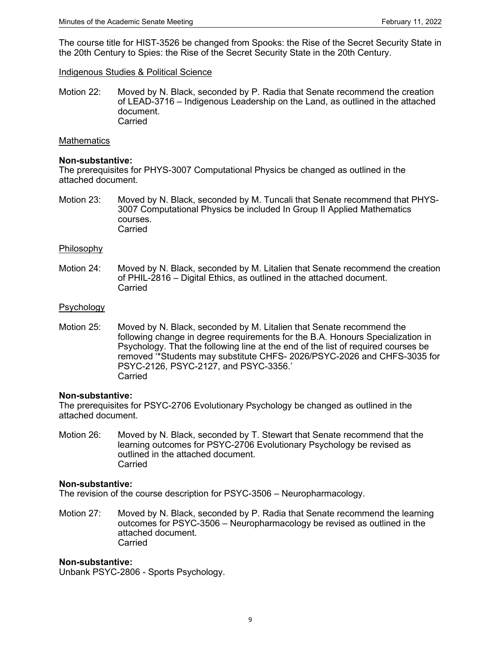The course title for HIST-3526 be changed from Spooks: the Rise of the Secret Security State in the 20th Century to Spies: the Rise of the Secret Security State in the 20th Century.

#### Indigenous Studies & Political Science

Motion 22: Moved by N. Black, seconded by P. Radia that Senate recommend the creation of LEAD-3716 – Indigenous Leadership on the Land, as outlined in the attached document. **Carried** 

#### **Mathematics**

#### **Non-substantive:**

The prerequisites for PHYS-3007 Computational Physics be changed as outlined in the attached document.

Motion 23: Moved by N. Black, seconded by M. Tuncali that Senate recommend that PHYS-3007 Computational Physics be included In Group II Applied Mathematics courses. Carried

#### Philosophy

Motion 24: Moved by N. Black, seconded by M. Litalien that Senate recommend the creation of PHIL-2816 – Digital Ethics, as outlined in the attached document. Carried

#### Psychology

Motion 25: Moved by N. Black, seconded by M. Litalien that Senate recommend the following change in degree requirements for the B.A. Honours Specialization in Psychology. That the following line at the end of the list of required courses be removed '\*Students may substitute CHFS- 2026/PSYC-2026 and CHFS-3035 for PSYC-2126, PSYC-2127, and PSYC-3356.' Carried

#### **Non-substantive:**

The prerequisites for PSYC-2706 Evolutionary Psychology be changed as outlined in the attached document.

Motion 26: Moved by N. Black, seconded by T. Stewart that Senate recommend that the learning outcomes for PSYC-2706 Evolutionary Psychology be revised as outlined in the attached document. Carried

#### **Non-substantive:**

The revision of the course description for PSYC-3506 – Neuropharmacology.

Motion 27: Moved by N. Black, seconded by P. Radia that Senate recommend the learning outcomes for PSYC-3506 – Neuropharmacology be revised as outlined in the attached document. **Carried** 

#### **Non-substantive:**

Unbank PSYC-2806 - Sports Psychology.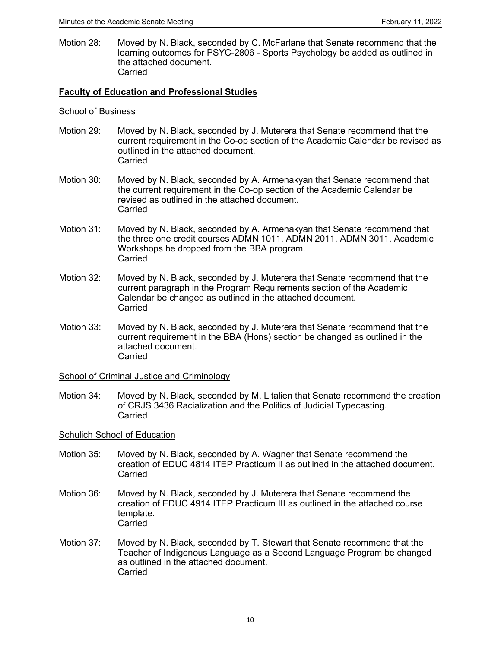Motion 28: Moved by N. Black, seconded by C. McFarlane that Senate recommend that the learning outcomes for PSYC-2806 - Sports Psychology be added as outlined in the attached document. Carried

## **Faculty of Education and Professional Studies**

#### School of Business

- Motion 29: Moved by N. Black, seconded by J. Muterera that Senate recommend that the current requirement in the Co-op section of the Academic Calendar be revised as outlined in the attached document. **Carried**
- Motion 30: Moved by N. Black, seconded by A. Armenakyan that Senate recommend that the current requirement in the Co-op section of the Academic Calendar be revised as outlined in the attached document. **Carried**
- Motion 31: Moved by N. Black, seconded by A. Armenakyan that Senate recommend that the three one credit courses ADMN 1011, ADMN 2011, ADMN 3011, Academic Workshops be dropped from the BBA program. Carried
- Motion 32: Moved by N. Black, seconded by J. Muterera that Senate recommend that the current paragraph in the Program Requirements section of the Academic Calendar be changed as outlined in the attached document. **Carried**
- Motion 33: Moved by N. Black, seconded by J. Muterera that Senate recommend that the current requirement in the BBA (Hons) section be changed as outlined in the attached document. **Carried**

School of Criminal Justice and Criminology

Motion 34: Moved by N. Black, seconded by M. Litalien that Senate recommend the creation of CRJS 3436 Racialization and the Politics of Judicial Typecasting. Carried

#### Schulich School of Education

- Motion 35: Moved by N. Black, seconded by A. Wagner that Senate recommend the creation of EDUC 4814 ITEP Practicum II as outlined in the attached document. Carried
- Motion 36: Moved by N. Black, seconded by J. Muterera that Senate recommend the creation of EDUC 4914 ITEP Practicum III as outlined in the attached course template. Carried
- Motion 37: Moved by N. Black, seconded by T. Stewart that Senate recommend that the Teacher of Indigenous Language as a Second Language Program be changed as outlined in the attached document. Carried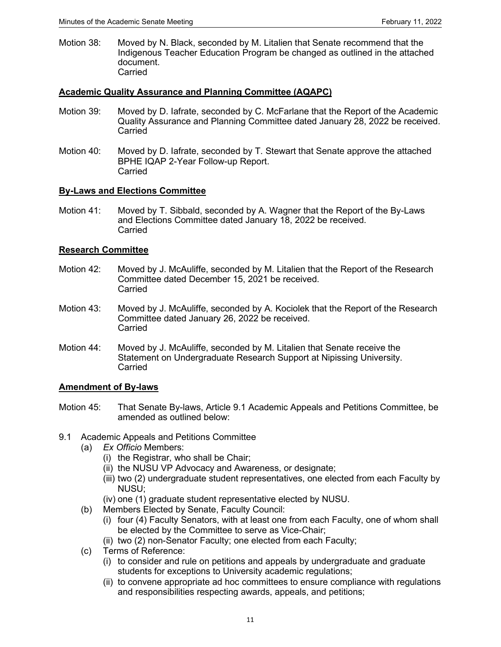Motion 38: Moved by N. Black, seconded by M. Litalien that Senate recommend that the Indigenous Teacher Education Program be changed as outlined in the attached document. Carried

## **Academic Quality Assurance and Planning Committee (AQAPC)**

- Motion 39: Moved by D. Iafrate, seconded by C. McFarlane that the Report of the Academic Quality Assurance and Planning Committee dated January 28, 2022 be received. Carried
- Motion 40: Moved by D. Iafrate, seconded by T. Stewart that Senate approve the attached BPHE IQAP 2-Year Follow-up Report. Carried

## **By-Laws and Elections Committee**

Motion 41: Moved by T. Sibbald, seconded by A. Wagner that the Report of the By-Laws and Elections Committee dated January 18, 2022 be received. Carried

## **Research Committee**

- Motion 42: Moved by J. McAuliffe, seconded by M. Litalien that the Report of the Research Committee dated December 15, 2021 be received. Carried
- Motion 43: Moved by J. McAuliffe, seconded by A. Kociolek that the Report of the Research Committee dated January 26, 2022 be received. Carried
- Motion 44: Moved by J. McAuliffe, seconded by M. Litalien that Senate receive the Statement on Undergraduate Research Support at Nipissing University. Carried

## **Amendment of By-laws**

- Motion 45: That Senate By-laws, Article 9.1 Academic Appeals and Petitions Committee, be amended as outlined below:
- 9.1 Academic Appeals and Petitions Committee
	- (a) *Ex Officio* Members:
		- (i) the Registrar, who shall be Chair;
		- (ii) the NUSU VP Advocacy and Awareness, or designate;
		- (iii) two (2) undergraduate student representatives, one elected from each Faculty by NUSU;
		- (iv) one (1) graduate student representative elected by NUSU.
	- (b) Members Elected by Senate, Faculty Council:
		- (i) four (4) Faculty Senators, with at least one from each Faculty, one of whom shall be elected by the Committee to serve as Vice-Chair;
		- (ii) two (2) non-Senator Faculty; one elected from each Faculty;
	- (c) Terms of Reference:
		- (i) to consider and rule on petitions and appeals by undergraduate and graduate students for exceptions to University academic regulations;
		- (ii) to convene appropriate ad hoc committees to ensure compliance with regulations and responsibilities respecting awards, appeals, and petitions;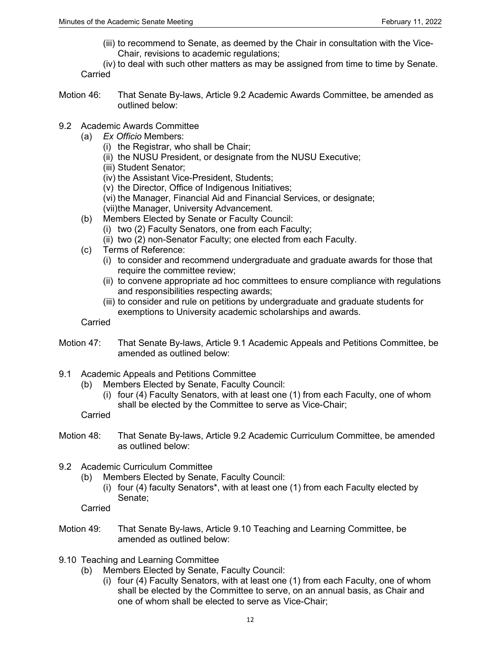(iii) to recommend to Senate, as deemed by the Chair in consultation with the Vice-Chair, revisions to academic regulations;

(iv) to deal with such other matters as may be assigned from time to time by Senate. **Carried** 

- Motion 46: That Senate By-laws, Article 9.2 Academic Awards Committee, be amended as outlined below:
- 9.2 Academic Awards Committee
	- (a) *Ex Officio* Members:
		- (i) the Registrar, who shall be Chair;
		- (ii) the NUSU President, or designate from the NUSU Executive;
		- (iii) Student Senator;
		- (iv) the Assistant Vice-President, Students;
		- (v) the Director, Office of Indigenous Initiatives;
		- (vi) the Manager, Financial Aid and Financial Services, or designate;
		- (vii)the Manager, University Advancement.
	- (b) Members Elected by Senate or Faculty Council:
		- (i) two (2) Faculty Senators, one from each Faculty;
		- (ii) two (2) non-Senator Faculty; one elected from each Faculty.
	- (c) Terms of Reference:
		- (i) to consider and recommend undergraduate and graduate awards for those that require the committee review:
		- (ii) to convene appropriate ad hoc committees to ensure compliance with regulations and responsibilities respecting awards;
		- (iii) to consider and rule on petitions by undergraduate and graduate students for exemptions to University academic scholarships and awards.

**Carried** 

- Motion 47: That Senate By-laws, Article 9.1 Academic Appeals and Petitions Committee, be amended as outlined below:
- 9.1 Academic Appeals and Petitions Committee
	- (b) Members Elected by Senate, Faculty Council:
		- (i) four (4) Faculty Senators, with at least one (1) from each Faculty, one of whom shall be elected by the Committee to serve as Vice-Chair;
	- Carried
- Motion 48: That Senate By-laws, Article 9.2 Academic Curriculum Committee, be amended as outlined below:
- 9.2 Academic Curriculum Committee
	- (b) Members Elected by Senate, Faculty Council:
		- (i) four (4) faculty Senators\*, with at least one (1) from each Faculty elected by Senate;
	- Carried
- Motion 49: That Senate By-laws, Article 9.10 Teaching and Learning Committee, be amended as outlined below:
- 9.10 Teaching and Learning Committee
	- (b) Members Elected by Senate, Faculty Council:
		- (i) four (4) Faculty Senators, with at least one (1) from each Faculty, one of whom shall be elected by the Committee to serve, on an annual basis, as Chair and one of whom shall be elected to serve as Vice-Chair;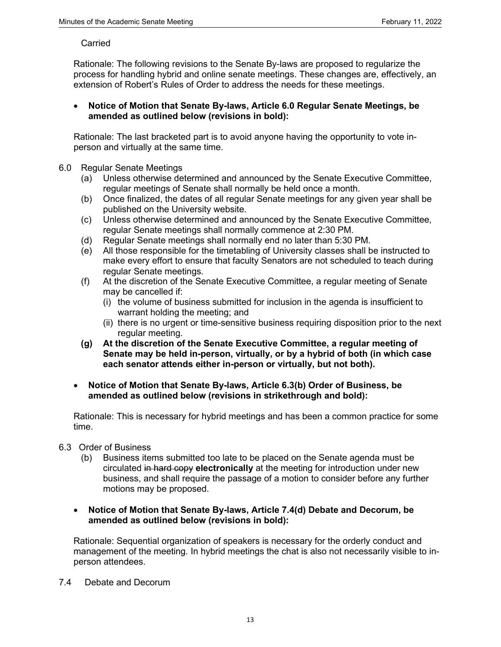#### **Carried**

Rationale: The following revisions to the Senate By-laws are proposed to regularize the process for handling hybrid and online senate meetings. These changes are, effectively, an extension of Robert's Rules of Order to address the needs for these meetings.

## • **Notice of Motion that Senate By-laws, Article 6.0 Regular Senate Meetings, be amended as outlined below (revisions in bold):**

Rationale: The last bracketed part is to avoid anyone having the opportunity to vote inperson and virtually at the same time.

## 6.0 Regular Senate Meetings

- (a) Unless otherwise determined and announced by the Senate Executive Committee, regular meetings of Senate shall normally be held once a month.
- (b) Once finalized, the dates of all regular Senate meetings for any given year shall be published on the University website.
- (c) Unless otherwise determined and announced by the Senate Executive Committee, regular Senate meetings shall normally commence at 2:30 PM.
- (d) Regular Senate meetings shall normally end no later than 5:30 PM.
- (e) All those responsible for the timetabling of University classes shall be instructed to make every effort to ensure that faculty Senators are not scheduled to teach during regular Senate meetings.
- (f) At the discretion of the Senate Executive Committee, a regular meeting of Senate may be cancelled if:
	- (i) the volume of business submitted for inclusion in the agenda is insufficient to warrant holding the meeting; and
	- (ii) there is no urgent or time-sensitive business requiring disposition prior to the next regular meeting.
- **(g) At the discretion of the Senate Executive Committee, a regular meeting of Senate may be held in-person, virtually, or by a hybrid of both (in which case each senator attends either in-person or virtually, but not both).**
- **Notice of Motion that Senate By-laws, Article 6.3(b) Order of Business, be amended as outlined below (revisions in strikethrough and bold):**

Rationale: This is necessary for hybrid meetings and has been a common practice for some time.

- 6.3 Order of Business
	- (b) Business items submitted too late to be placed on the Senate agenda must be circulated in hard copy **electronically** at the meeting for introduction under new business, and shall require the passage of a motion to consider before any further motions may be proposed.
	- **Notice of Motion that Senate By-laws, Article 7.4(d) Debate and Decorum, be amended as outlined below (revisions in bold):**

Rationale: Sequential organization of speakers is necessary for the orderly conduct and management of the meeting. In hybrid meetings the chat is also not necessarily visible to inperson attendees.

7.4 Debate and Decorum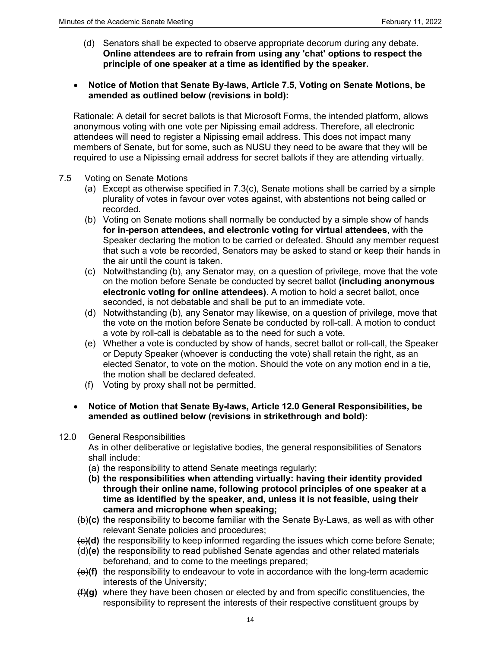(d) Senators shall be expected to observe appropriate decorum during any debate. **Online attendees are to refrain from using any 'chat' options to respect the principle of one speaker at a time as identified by the speaker.**

## • **Notice of Motion that Senate By-laws, Article 7.5, Voting on Senate Motions, be amended as outlined below (revisions in bold):**

Rationale: A detail for secret ballots is that Microsoft Forms, the intended platform, allows anonymous voting with one vote per Nipissing email address. Therefore, all electronic attendees will need to register a Nipissing email address. This does not impact many members of Senate, but for some, such as NUSU they need to be aware that they will be required to use a Nipissing email address for secret ballots if they are attending virtually.

- 7.5 Voting on Senate Motions
	- (a) Except as otherwise specified in 7.3(c), Senate motions shall be carried by a simple plurality of votes in favour over votes against, with abstentions not being called or recorded.
	- (b) Voting on Senate motions shall normally be conducted by a simple show of hands **for in-person attendees, and electronic voting for virtual attendees**, with the Speaker declaring the motion to be carried or defeated. Should any member request that such a vote be recorded, Senators may be asked to stand or keep their hands in the air until the count is taken.
	- (c) Notwithstanding (b), any Senator may, on a question of privilege, move that the vote on the motion before Senate be conducted by secret ballot **(including anonymous electronic voting for online attendees)**. A motion to hold a secret ballot, once seconded, is not debatable and shall be put to an immediate vote.
	- (d) Notwithstanding (b), any Senator may likewise, on a question of privilege, move that the vote on the motion before Senate be conducted by roll-call. A motion to conduct a vote by roll-call is debatable as to the need for such a vote.
	- (e) Whether a vote is conducted by show of hands, secret ballot or roll-call, the Speaker or Deputy Speaker (whoever is conducting the vote) shall retain the right, as an elected Senator, to vote on the motion. Should the vote on any motion end in a tie, the motion shall be declared defeated.
	- (f) Voting by proxy shall not be permitted.
	- **Notice of Motion that Senate By-laws, Article 12.0 General Responsibilities, be amended as outlined below (revisions in strikethrough and bold):**
- 12.0 General Responsibilities

As in other deliberative or legislative bodies, the general responsibilities of Senators shall include:

- (a) the responsibility to attend Senate meetings regularly;
- **(b) the responsibilities when attending virtually: having their identity provided through their online name, following protocol principles of one speaker at a time as identified by the speaker, and, unless it is not feasible, using their camera and microphone when speaking;**
- (b)**(c)** the responsibility to become familiar with the Senate By-Laws, as well as with other relevant Senate policies and procedures;
- (c)**(d)** the responsibility to keep informed regarding the issues which come before Senate;
- (d)**(e)** the responsibility to read published Senate agendas and other related materials beforehand, and to come to the meetings prepared;
- (e)**(f)** the responsibility to endeavour to vote in accordance with the long-term academic interests of the University;
- (f)**(g)** where they have been chosen or elected by and from specific constituencies, the responsibility to represent the interests of their respective constituent groups by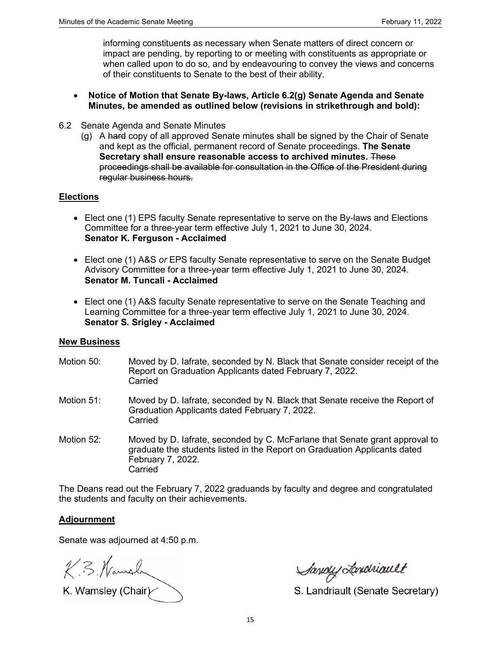informing constituents as necessary when Senate matters of direct concern or impact are pending, by reporting to or meeting with constituents as appropriate or when called upon to do so, and by endeavouring to convey the views and concerns of their constituents to Senate to the best of their ability.

- **Notice of Motion that Senate By-laws, Article 6.2(g) Senate Agenda and Senate Minutes, be amended as outlined below (revisions in strikethrough and bold):**
- 6.2 Senate Agenda and Senate Minutes
	- (g) A hard copy of all approved Senate minutes shall be signed by the Chair of Senate and kept as the official, permanent record of Senate proceedings. **The Senate Secretary shall ensure reasonable access to archived minutes.** These proceedings shall be available for consultation in the Office of the President during regular business hours.

## **Elections**

- Elect one (1) EPS faculty Senate representative to serve on the By-laws and Elections Committee for a three-year term effective July 1, 2021 to June 30, 2024. **Senator K. Ferguson - Acclaimed**
- Elect one (1) A&S *or* EPS faculty Senate representative to serve on the Senate Budget Advisory Committee for a three-year term effective July 1, 2021 to June 30, 2024. **Senator M. Tuncali - Acclaimed**
- Elect one (1) A&S faculty Senate representative to serve on the Senate Teaching and Learning Committee for a three-year term effective July 1, 2021 to June 30, 2024. **Senator S. Srigley - Acclaimed**

## **New Business**

- Motion 50: Moved by D. Iafrate, seconded by N. Black that Senate consider receipt of the Report on Graduation Applicants dated February 7, 2022. **Carried**
- Motion 51: Moved by D. Iafrate, seconded by N. Black that Senate receive the Report of Graduation Applicants dated February 7, 2022. **Carried**
- Motion 52: Moved by D. Iafrate, seconded by C. McFarlane that Senate grant approval to graduate the students listed in the Report on Graduation Applicants dated February 7, 2022. Carried

The Deans read out the February 7, 2022 graduands by faculty and degree and congratulated the students and faculty on their achievements.

# **Adjournment**

Senate was adjourned at 4:50 p.m.

K. B. Namaln

K. Wamsley (Chair)

Savoy Londriault

S. Landriault (Senate Secretary)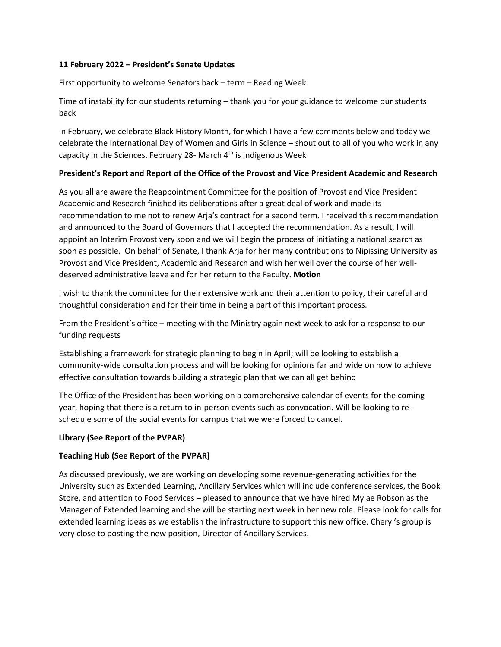#### **11 February 2022 – President's Senate Updates**

First opportunity to welcome Senators back – term – Reading Week

Time of instability for our students returning – thank you for your guidance to welcome our students back

In February, we celebrate Black History Month, for which I have a few comments below and today we celebrate the International Day of Women and Girls in Science – shout out to all of you who work in any capacity in the Sciences. February 28- March  $4<sup>th</sup>$  is Indigenous Week

## **President's Report and Report of the Office of the Provost and Vice President Academic and Research**

As you all are aware the Reappointment Committee for the position of Provost and Vice President Academic and Research finished its deliberations after a great deal of work and made its recommendation to me not to renew Arja's contract for a second term. I received this recommendation and announced to the Board of Governors that I accepted the recommendation. As a result, I will appoint an Interim Provost very soon and we will begin the process of initiating a national search as soon as possible. On behalf of Senate, I thank Arja for her many contributions to Nipissing University as Provost and Vice President, Academic and Research and wish her well over the course of her welldeserved administrative leave and for her return to the Faculty. **Motion** 

I wish to thank the committee for their extensive work and their attention to policy, their careful and thoughtful consideration and for their time in being a part of this important process.

From the President's office – meeting with the Ministry again next week to ask for a response to our funding requests

Establishing a framework for strategic planning to begin in April; will be looking to establish a community-wide consultation process and will be looking for opinions far and wide on how to achieve effective consultation towards building a strategic plan that we can all get behind

The Office of the President has been working on a comprehensive calendar of events for the coming year, hoping that there is a return to in-person events such as convocation. Will be looking to reschedule some of the social events for campus that we were forced to cancel.

## **Library (See Report of the PVPAR)**

## **Teaching Hub (See Report of the PVPAR)**

As discussed previously, we are working on developing some revenue-generating activities for the University such as Extended Learning, Ancillary Services which will include conference services, the Book Store, and attention to Food Services – pleased to announce that we have hired Mylae Robson as the Manager of Extended learning and she will be starting next week in her new role. Please look for calls for extended learning ideas as we establish the infrastructure to support this new office. Cheryl's group is very close to posting the new position, Director of Ancillary Services.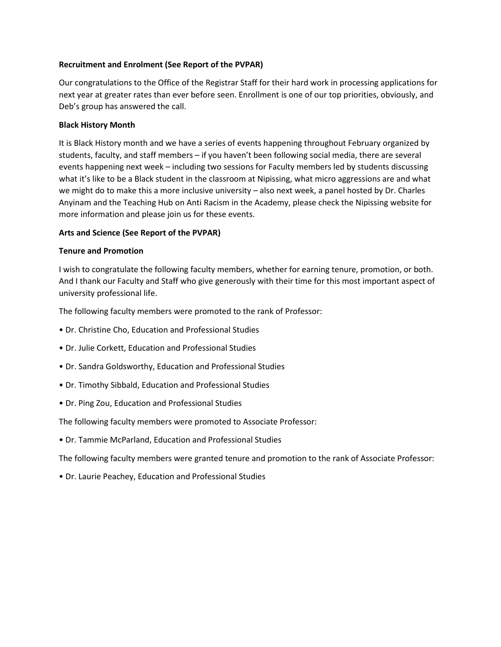## **Recruitment and Enrolment (See Report of the PVPAR)**

Our congratulations to the Office of the Registrar Staff for their hard work in processing applications for next year at greater rates than ever before seen. Enrollment is one of our top priorities, obviously, and Deb's group has answered the call.

## **Black History Month**

It is Black History month and we have a series of events happening throughout February organized by students, faculty, and staff members – if you haven't been following social media, there are several events happening next week – including two sessions for Faculty members led by students discussing what it's like to be a Black student in the classroom at Nipissing, what micro aggressions are and what we might do to make this a more inclusive university – also next week, a panel hosted by Dr. Charles Anyinam and the Teaching Hub on Anti Racism in the Academy, please check the Nipissing website for more information and please join us for these events.

## **Arts and Science (See Report of the PVPAR)**

#### **Tenure and Promotion**

I wish to congratulate the following faculty members, whether for earning tenure, promotion, or both. And I thank our Faculty and Staff who give generously with their time for this most important aspect of university professional life.

The following faculty members were promoted to the rank of Professor:

- Dr. Christine Cho, Education and Professional Studies
- Dr. Julie Corkett, Education and Professional Studies
- Dr. Sandra Goldsworthy, Education and Professional Studies
- Dr. Timothy Sibbald, Education and Professional Studies
- Dr. Ping Zou, Education and Professional Studies

The following faculty members were promoted to Associate Professor:

• Dr. Tammie McParland, Education and Professional Studies

The following faculty members were granted tenure and promotion to the rank of Associate Professor:

• Dr. Laurie Peachey, Education and Professional Studies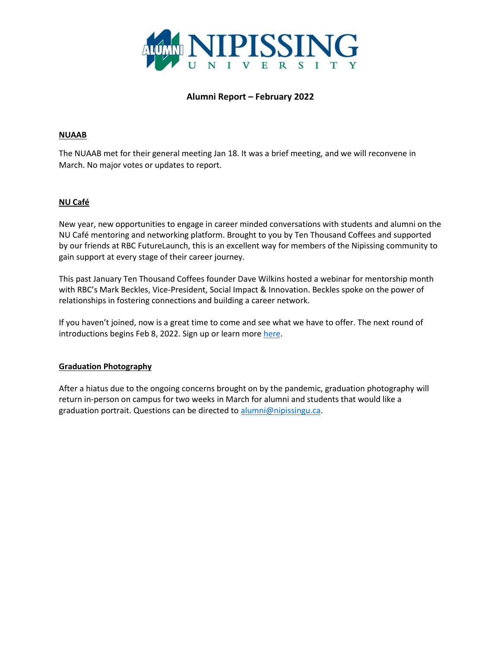

# **Alumni Report – February 2022**

## **NUAAB**

The NUAAB met for their general meeting Jan 18. It was a brief meeting, and we will reconvene in March. No major votes or updates to report.

## **NU Café**

New year, new opportunities to engage in career minded conversations with students and alumni on the NU Café mentoring and networking platform. Brought to you by Ten Thousand Coffees and supported by our friends at RBC FutureLaunch, this is an excellent way for members of the Nipissing community to gain support at every stage of their career journey.

This past January Ten Thousand Coffees founder Dave Wilkins hosted a webinar for mentorship month with RBC's Mark Beckles, Vice-President, Social Impact & Innovation. Beckles spoke on the power of relationships in fostering connections and building a career network.

If you haven't joined, now is a great time to come and see what we have to offer. The next round of introductions begins Feb 8, 2022. Sign up or learn more [here.](https://www.nipissingu.ca/about/nu-cafe)

#### **Graduation Photography**

After a hiatus due to the ongoing concerns brought on by the pandemic, graduation photography will return in-person on campus for two weeks in March for alumni and students that would like a graduation portrait. Questions can be directed to [alumni@nipissingu.ca.](mailto:alumni@nipissingu.ca)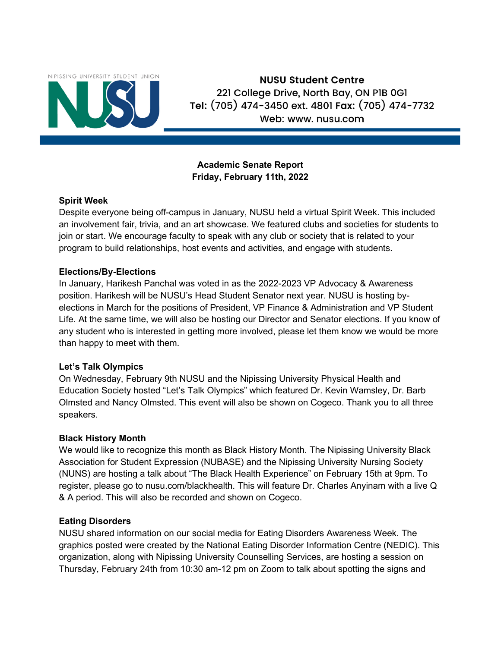

**NUSU Student Centre** 221 College Drive, North Bay, ON PIB 0G1 Tel: (705) 474-3450 ext. 4801 Fax: (705) 474-7732 Web: www. nusu.com

# **Academic Senate Report Friday, February 11th, 2022**

# **Spirit Week**

Despite everyone being off-campus in January, NUSU held a virtual Spirit Week. This included an involvement fair, trivia, and an art showcase. We featured clubs and societies for students to join or start. We encourage faculty to speak with any club or society that is related to your program to build relationships, host events and activities, and engage with students.

# **Elections/By-Elections**

In January, Harikesh Panchal was voted in as the 2022-2023 VP Advocacy & Awareness position. Harikesh will be NUSU's Head Student Senator next year. NUSU is hosting byelections in March for the positions of President, VP Finance & Administration and VP Student Life. At the same time, we will also be hosting our Director and Senator elections. If you know of any student who is interested in getting more involved, please let them know we would be more than happy to meet with them.

# **Let's Talk Olympics**

On Wednesday, February 9th NUSU and the Nipissing University Physical Health and Education Society hosted "Let's Talk Olympics" which featured Dr. Kevin Wamsley, Dr. Barb Olmsted and Nancy Olmsted. This event will also be shown on Cogeco. Thank you to all three speakers.

# **Black History Month**

We would like to recognize this month as Black History Month. The Nipissing University Black Association for Student Expression (NUBASE) and the Nipissing University Nursing Society (NUNS) are hosting a talk about "The Black Health Experience" on February 15th at 9pm. To register, please go to nusu.com/blackhealth. This will feature Dr. Charles Anyinam with a live Q & A period. This will also be recorded and shown on Cogeco.

# **Eating Disorders**

NUSU shared information on our social media for Eating Disorders Awareness Week. The graphics posted were created by the National Eating Disorder Information Centre (NEDIC). This organization, along with Nipissing University Counselling Services, are hosting a session on Thursday, February 24th from 10:30 am-12 pm on Zoom to talk about spotting the signs and